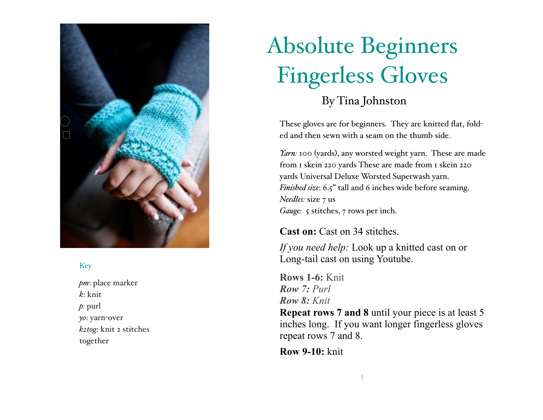

## Key

*pm*: place marker *k*: knit *p:* purl *yo*: yarn-over *k2tog*: knit 2 stitches together

## Absolute Beginners Fingerless Gloves

By Tina Johnston

These gloves are for beginners. They are knitted flat, folded and then sewn with a seam on the thumb side.

*Yarn:* 100 (yards), any worsted weight yarn. These are made from 1 skein 220 yards These are made from 1 skein 220 yards Universal Deluxe Worsted Superwash yarn. *Finished size*: 6.5" tall and 6 inches wide before seaming. *Needles:* size 7 us *Gauge:* 5 stitches, 7 rows per inch.

**Cast on:** Cast on 34 stitches.

*If you need help:* Look up a knitted cast on or Long-tail cast on using Youtube.

**Rows 1-6:** Knit *Row 7: Purl Row 8: Knit* 

**Repeat rows 7 and 8** until your piece is at least 5 inches long. If you want longer fingerless gloves repeat rows 7 and 8.

**Row 9-10:** knit